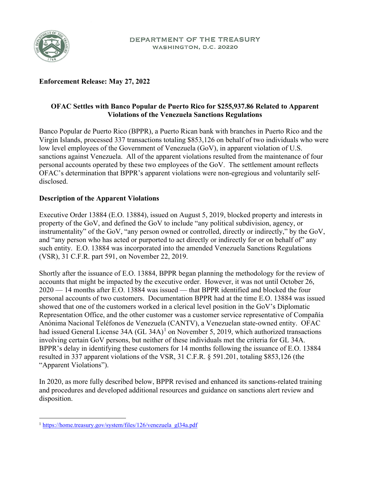

# **Enforcement Release: May 27, 2022**

# **OFAC Settles with Banco Popular de Puerto Rico for \$255,937.86 Related to Apparent Violations of the Venezuela Sanctions Regulations**

Banco Popular de Puerto Rico (BPPR), a Puerto Rican bank with branches in Puerto Rico and the Virgin Islands, processed 337 transactions totaling \$853,126 on behalf of two individuals who were low level employees of the Government of Venezuela (GoV), in apparent violation of U.S. sanctions against Venezuela. All of the apparent violations resulted from the maintenance of four personal accounts operated by these two employees of the GoV. The settlement amount reflects OFAC's determination that BPPR's apparent violations were non-egregious and voluntarily selfdisclosed.

# **Description of the Apparent Violations**

Executive Order 13884 (E.O. 13884), issued on August 5, 2019, blocked property and interests in property of the GoV, and defined the GoV to include "any political subdivision, agency, or instrumentality" of the GoV, "any person owned or controlled, directly or indirectly," by the GoV, and "any person who has acted or purported to act directly or indirectly for or on behalf of" any such entity. E.O. 13884 was incorporated into the amended Venezuela Sanctions Regulations (VSR), 31 C.F.R. part 591, on November 22, 2019.

Shortly after the issuance of E.O. 13884, BPPR began planning the methodology for the review of accounts that might be impacted by the executive order. However, it was not until October 26, 2020 — 14 months after E.O. 13884 was issued — that BPPR identified and blocked the four personal accounts of two customers. Documentation BPPR had at the time E.O. 13884 was issued showed that one of the customers worked in a clerical level position in the GoV's Diplomatic Representation Office, and the other customer was a customer service representative of Compañía Anónima Nacional Teléfonos de Venezuela (CANTV), a Venezuelan state-owned entity. OFAC had issued General License  $34A (GL 34A)^1$  $34A (GL 34A)^1$  on November 5, 2019, which authorized transactions involving certain GoV persons, but neither of these individuals met the criteria for GL 34A. BPPR's delay in identifying these customers for 14 months following the issuance of E.O. 13884 resulted in 337 apparent violations of the VSR, 31 C.F.R. § 591.201, totaling \$853,126 (the "Apparent Violations").

In 2020, as more fully described below, BPPR revised and enhanced its sanctions-related training and procedures and developed additional resources and guidance on sanctions alert review and disposition.

<span id="page-0-0"></span><sup>&</sup>lt;sup>1</sup> [https://home.treasury.gov/system/files/126/venezuela\\_gl34a.pdf](https://home.treasury.gov/system/files/126/venezuela_gl34a.pdf)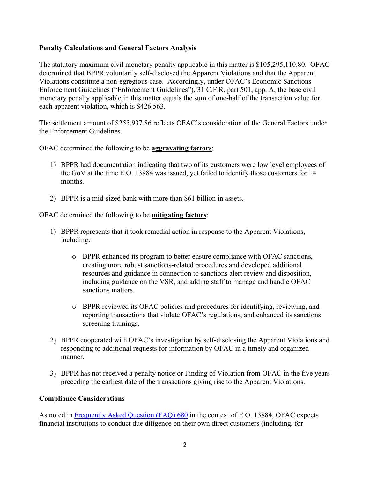### **Penalty Calculations and General Factors Analysis**

The statutory maximum civil monetary penalty applicable in this matter is \$105,295,110.80. OFAC determined that BPPR voluntarily self-disclosed the Apparent Violations and that the Apparent Violations constitute a non-egregious case. Accordingly, under OFAC's Economic Sanctions Enforcement Guidelines ("Enforcement Guidelines"), 31 C.F.R. part 501, app. A, the base civil monetary penalty applicable in this matter equals the sum of one-half of the transaction value for each apparent violation, which is \$426,563.

The settlement amount of \$255,937.86 reflects OFAC's consideration of the General Factors under the Enforcement Guidelines.

OFAC determined the following to be **aggravating factors**:

- 1) BPPR had documentation indicating that two of its customers were low level employees of the GoV at the time E.O. 13884 was issued, yet failed to identify those customers for 14 months.
- 2) BPPR is a mid-sized bank with more than \$61 billion in assets.

### OFAC determined the following to be **mitigating factors**:

- 1) BPPR represents that it took remedial action in response to the Apparent Violations, including:
	- o BPPR enhanced its program to better ensure compliance with OFAC sanctions, creating more robust sanctions-related procedures and developed additional resources and guidance in connection to sanctions alert review and disposition, including guidance on the VSR, and adding staff to manage and handle OFAC sanctions matters.
	- o BPPR reviewed its OFAC policies and procedures for identifying, reviewing, and reporting transactions that violate OFAC's regulations, and enhanced its sanctions screening trainings.
- 2) BPPR cooperated with OFAC's investigation by self-disclosing the Apparent Violations and responding to additional requests for information by OFAC in a timely and organized manner.
- 3) BPPR has not received a penalty notice or Finding of Violation from OFAC in the five years preceding the earliest date of the transactions giving rise to the Apparent Violations.

#### **Compliance Considerations**

As noted in [Frequently Asked Question \(FAQ\) 680](https://home.treasury.gov/policy-issues/financial-sanctions/faqs/680) in the context of E.O. 13884, OFAC expects financial institutions to conduct due diligence on their own direct customers (including, for